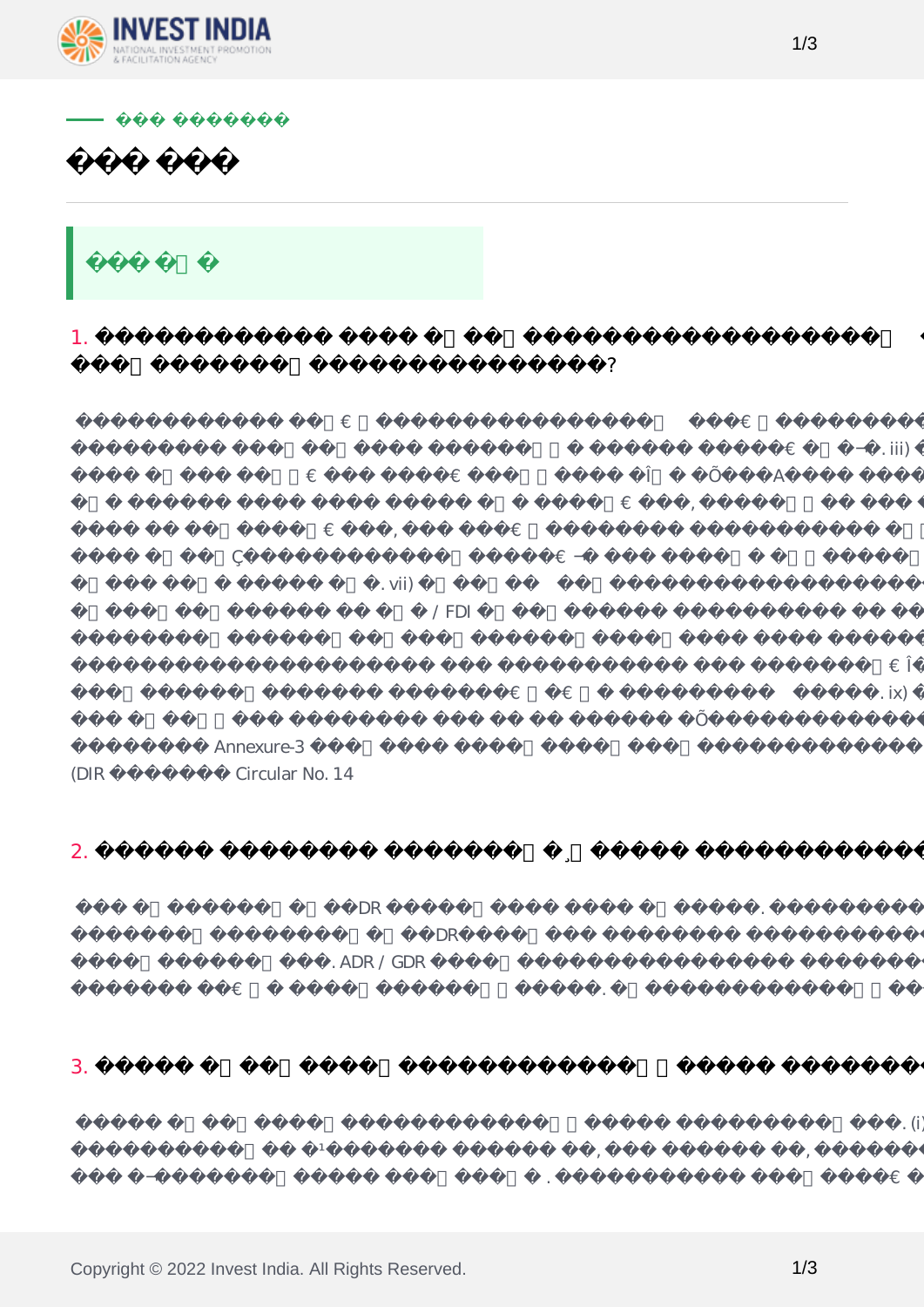



 $\mathcal{R}$ 

양도 가격을 명시하는 정식 서명 동의서 . 공식적인 판매 계약이없는 경우,이 효력을 위해 교환 된

 $\Gamma$ . (i)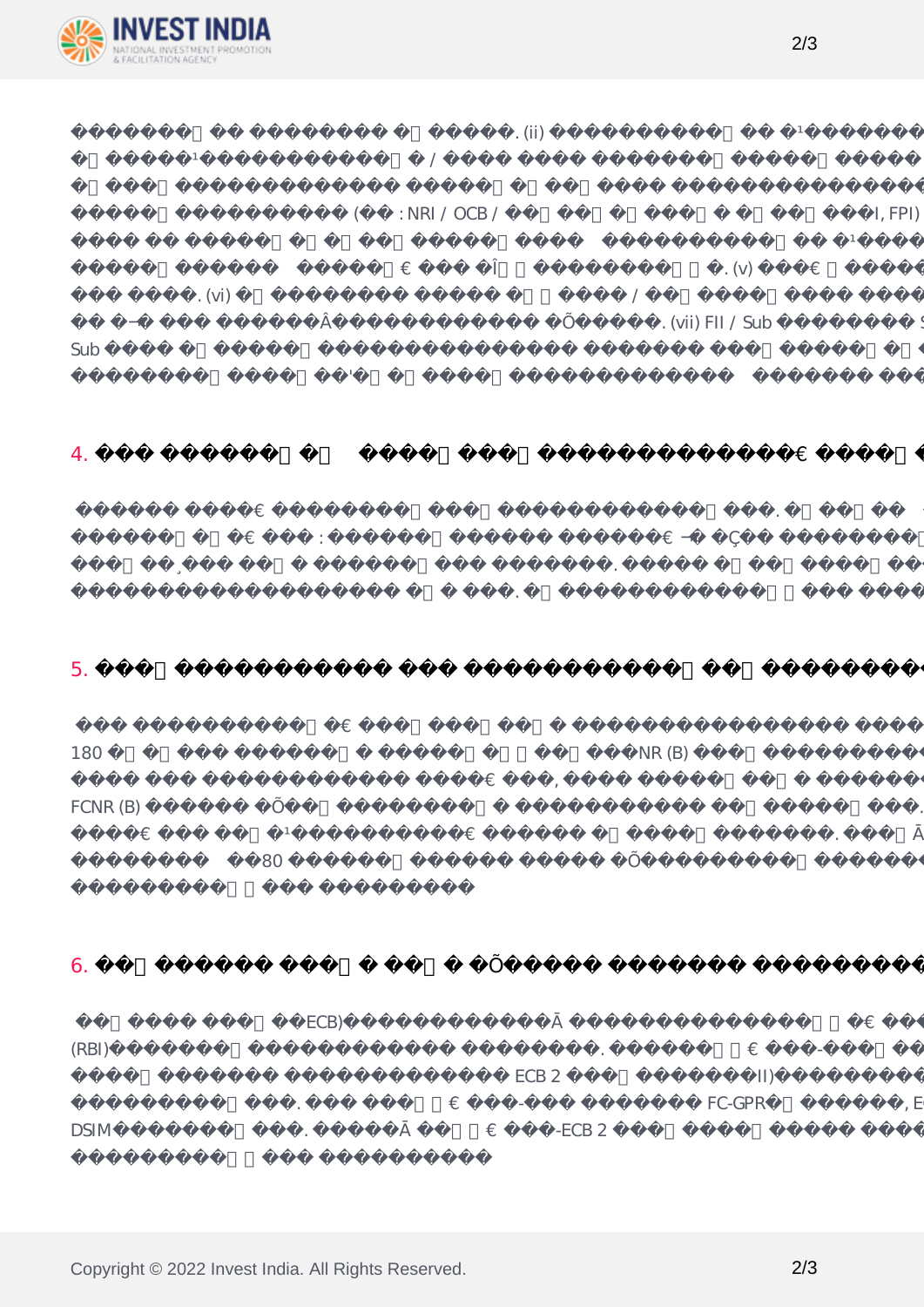

 $(ii)$   $(iii)$  $\angle$  and  $\angle$  and  $\angle$  (iii)  $($  : NRI / OCB /  $/$  /  $/$  FII, FPI)  $/$  $\angle$  $\mathcal{L}(\nabla)$  $\mathbf{H}$  (vi)  $\mathbf{F}\mathbf{D}\mathbf{I}$  /  $\mathbf{F}\mathbf{D}\mathbf{I}$ 

 $\begin{tabular}{ll} \bf (vii) \; FII \; / \; Sub & \; SEBI & \; FII \; / \; \end{tabular}$ Sub FPI  $\hspace{1.6cm}$  1' $\hspace{1.6cm}$  5.1 $\hspace{1.6cm}$ 

| 4.  |                                     | <b>RBI</b>                          |           |             | ာ |
|-----|-------------------------------------|-------------------------------------|-----------|-------------|---|
|     | <b>RBI</b><br>RBI<br>$\ddot{\cdot}$ | $\bullet$<br>$\bullet$<br>$\bullet$ | $\bullet$ | $\bullet$   |   |
| 5.  |                                     |                                     |           | $\tilde{?}$ |   |
| 180 |                                     | NRE / FCNR (B)                      |           | $\bullet$   |   |

|          |     |   |           |           | NRE.      |
|----------|-----|---|-----------|-----------|-----------|
| FCNR (B) |     |   | $\bullet$ | $\bullet$ |           |
|          |     | ٠ |           |           |           |
|          | 180 |   |           |           | $\bullet$ |

| 6.          |           |                          |                          | ?              |  |
|-------------|-----------|--------------------------|--------------------------|----------------|--|
| (RBI)       | (ECB)     | ٠                        | $\overline{\phantom{a}}$ | FC-GPR RBI     |  |
|             |           | ECB <sub>2</sub>         | III)                     | (DSIM)         |  |
|             | ٠         | $\overline{\phantom{0}}$ | FC-GPR                   | , ECB 2 Return |  |
| <b>DSIM</b> | $\bullet$ | $-ECB2$                  |                          | $\bullet$      |  |

내용은 여기를 클릭 하십시오.

내용은 여기를 클릭 하십시오 .